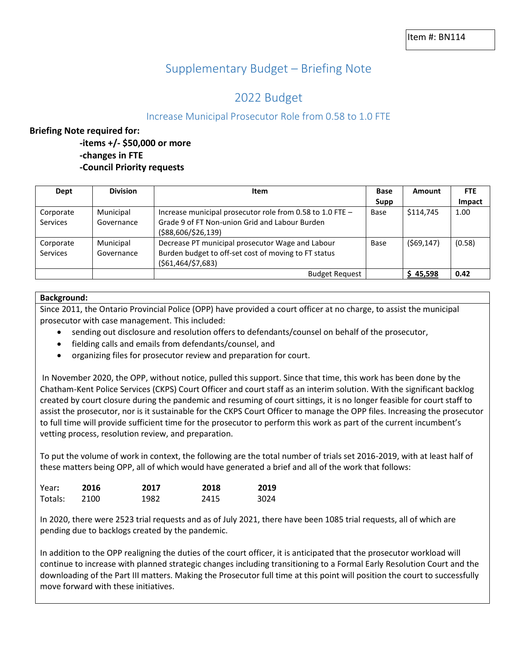# Supplementary Budget – Briefing Note

# 2022 Budget

# Increase Municipal Prosecutor Role from 0.58 to 1.0 FTE

## **Briefing Note required for:**

**-items +/- \$50,000 or more -changes in FTE -Council Priority requests**

| Dept      | <b>Division</b> | Item                                                      | <b>Base</b> | Amount     | <b>FTE</b> |
|-----------|-----------------|-----------------------------------------------------------|-------------|------------|------------|
|           |                 |                                                           | Supp        |            | Impact     |
| Corporate | Municipal       | Increase municipal prosecutor role from 0.58 to 1.0 FTE - | Base        | \$114,745  | 1.00       |
| Services  | Governance      | Grade 9 of FT Non-union Grid and Labour Burden            |             |            |            |
|           |                 | (\$88,606/\$26,139)                                       |             |            |            |
| Corporate | Municipal       | Decrease PT municipal prosecutor Wage and Labour          | Base        | (569, 147) | (0.58)     |
| Services  | Governance      | Burden budget to off-set cost of moving to FT status      |             |            |            |
|           |                 | ( \$61,464/\$7,683)                                       |             |            |            |
|           |                 | <b>Budget Request</b>                                     |             | \$45,598   | 0.42       |

### **Background:**

Since 2011, the Ontario Provincial Police (OPP) have provided a court officer at no charge, to assist the municipal prosecutor with case management. This included:

- sending out disclosure and resolution offers to defendants/counsel on behalf of the prosecutor,
- fielding calls and emails from defendants/counsel, and
- organizing files for prosecutor review and preparation for court.

In November 2020, the OPP, without notice, pulled this support. Since that time, this work has been done by the Chatham-Kent Police Services (CKPS) Court Officer and court staff as an interim solution. With the significant backlog created by court closure during the pandemic and resuming of court sittings, it is no longer feasible for court staff to assist the prosecutor, nor is it sustainable for the CKPS Court Officer to manage the OPP files. Increasing the prosecutor to full time will provide sufficient time for the prosecutor to perform this work as part of the current incumbent's vetting process, resolution review, and preparation.

To put the volume of work in context, the following are the total number of trials set 2016-2019, with at least half of these matters being OPP, all of which would have generated a brief and all of the work that follows:

| Year:   | 2016 | 2017 | 2018 | 2019 |
|---------|------|------|------|------|
| Totals: | 2100 | 1982 | 2415 | 3024 |

In 2020, there were 2523 trial requests and as of July 2021, there have been 1085 trial requests, all of which are pending due to backlogs created by the pandemic.

In addition to the OPP realigning the duties of the court officer, it is anticipated that the prosecutor workload will continue to increase with planned strategic changes including transitioning to a Formal Early Resolution Court and the downloading of the Part III matters. Making the Prosecutor full time at this point will position the court to successfully move forward with these initiatives.